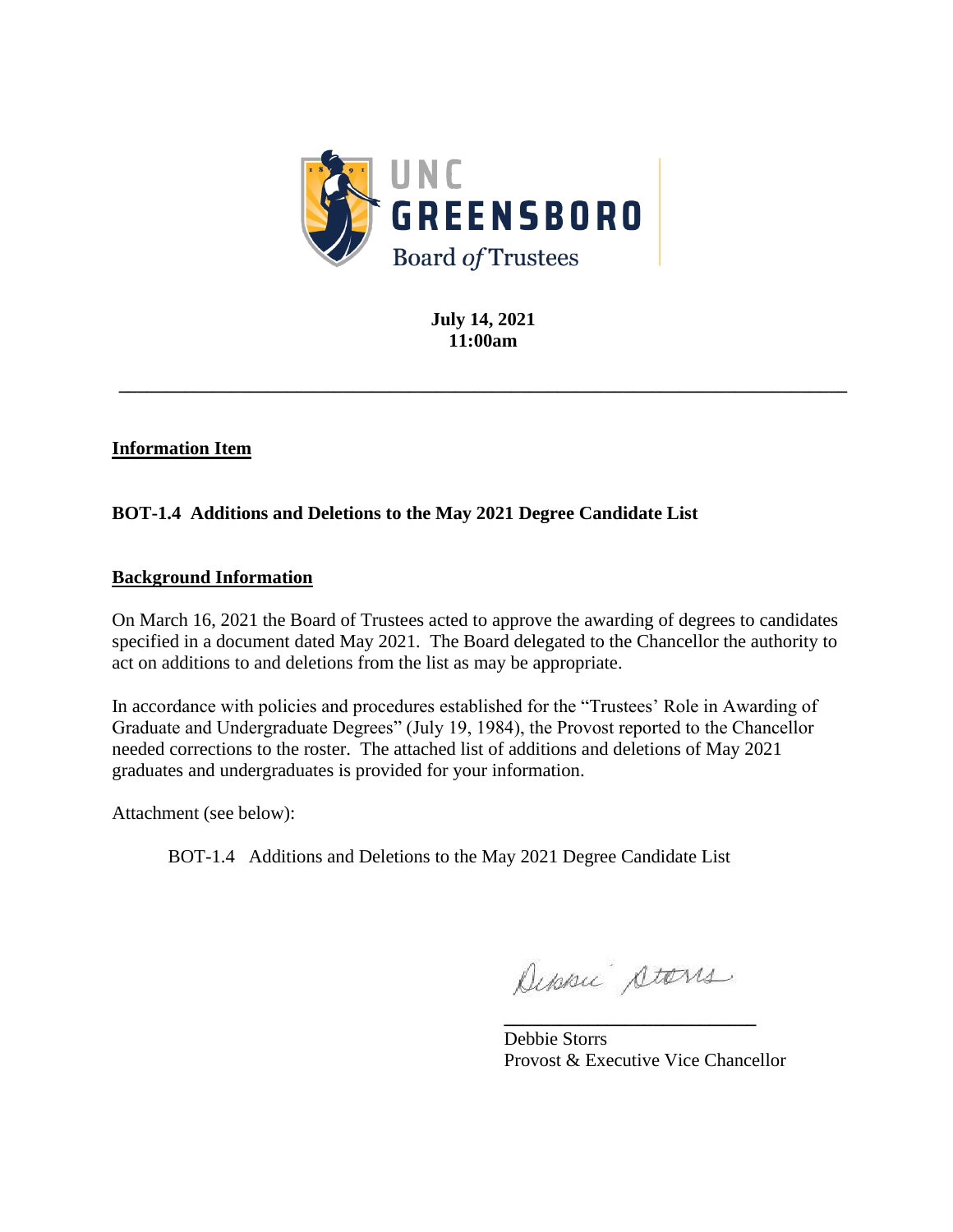

**July 14, 2021 11:00am**

**\_\_\_\_\_\_\_\_\_\_\_\_\_\_\_\_\_\_\_\_\_\_\_\_\_\_\_\_\_\_\_\_\_\_\_\_\_\_\_\_\_\_\_\_\_\_\_\_\_\_\_\_\_\_\_\_\_\_\_\_\_\_\_\_\_\_\_\_\_\_\_\_\_\_\_\_\_\_**

# **Information Item**

# **BOT-1.4 Additions and Deletions to the May 2021 Degree Candidate List**

## **Background Information**

On March 16, 2021 the Board of Trustees acted to approve the awarding of degrees to candidates specified in a document dated May 2021. The Board delegated to the Chancellor the authority to act on additions to and deletions from the list as may be appropriate.

In accordance with policies and procedures established for the "Trustees' Role in Awarding of Graduate and Undergraduate Degrees" (July 19, 1984), the Provost reported to the Chancellor needed corrections to the roster. The attached list of additions and deletions of May 2021 graduates and undergraduates is provided for your information.

Attachment (see below):

BOT-1.4 Additions and Deletions to the May 2021 Degree Candidate List

Deposi stars

**\_\_\_\_\_\_\_\_\_\_\_\_\_\_\_\_\_\_\_\_\_\_\_\_\_\_\_**

Debbie Storrs Provost & Executive Vice Chancellor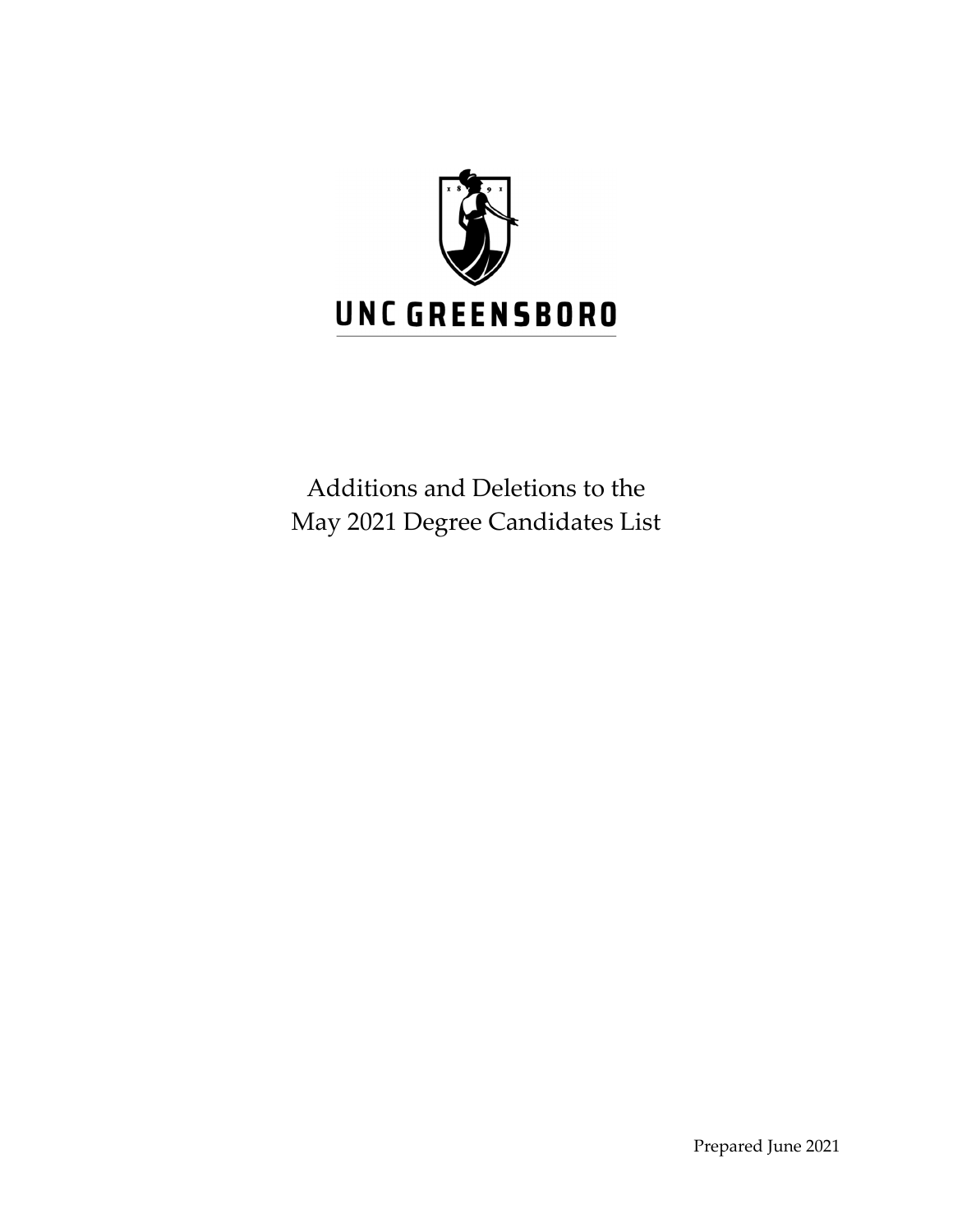

Additions and Deletions to the May 2021 Degree Candidates List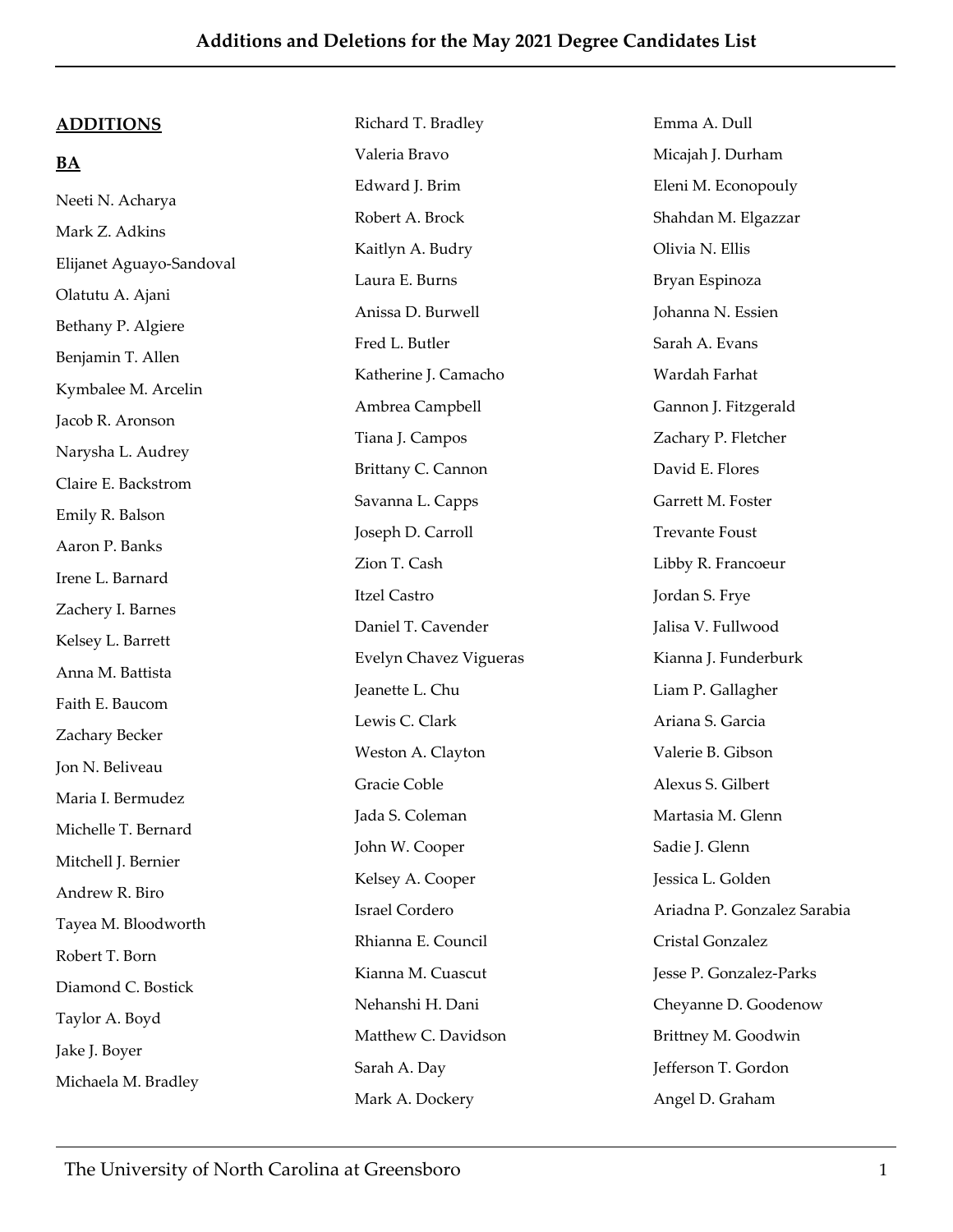#### **ADDITIONS**

## **BA**

Neeti N. Acharya Mark Z. Adkins Elijanet Aguayo‐Sandoval Olatutu A. Ajani Bethany P. Algiere Benjamin T. Allen Kymbalee M. Arcelin Jacob R. Aronson Narysha L. Audrey Claire E. Backstrom Emily R. Balson Aaron P. Banks Irene L. Barnard Zachery I. Barnes Kelsey L. Barrett Anna M. Battista Faith E. Baucom Zachary Becker Jon N. Beliveau Maria I. Bermudez Michelle T. Bernard Mitchell J. Bernier Andrew R. Biro Tayea M. Bloodworth Robert T. Born Diamond C. Bostick Taylor A. Boyd Jake J. Boyer Michaela M. Bradley

Richard T. Bradley Valeria Bravo Edward I. Brim Robert A. Brock Kaitlyn A. Budry Laura E. Burns Anissa D. Burwell Fred L. Butler Katherine J. Camacho Ambrea Campbell Tiana J. Campos Brittany C. Cannon Savanna L. Capps Joseph D. Carroll Zion T. Cash Itzel Castro Daniel T. Cavender Evelyn Chavez Vigueras Jeanette L. Chu Lewis C. Clark Weston A. Clayton Gracie Coble Jada S. Coleman John W. Cooper Kelsey A. Cooper Israel Cordero Rhianna E. Council Kianna M. Cuascut Nehanshi H. Dani Matthew C. Davidson Sarah A. Day Mark A. Dockery

Emma A. Dull Micajah J. Durham Eleni M. Econopouly Shahdan M. Elgazzar Olivia N. Ellis Bryan Espinoza Johanna N. Essien Sarah A. Evans Wardah Farhat Gannon J. Fitzgerald Zachary P. Fletcher David E. Flores Garrett M. Foster Trevante Foust Libby R. Francoeur Jordan S. Frye Jalisa V. Fullwood Kianna J. Funderburk Liam P. Gallagher Ariana S. Garcia Valerie B. Gibson Alexus S. Gilbert Martasia M. Glenn Sadie J. Glenn Jessica L. Golden Ariadna P. Gonzalez Sarabia Cristal Gonzalez Jesse P. Gonzalez‐Parks Cheyanne D. Goodenow Brittney M. Goodwin Jefferson T. Gordon Angel D. Graham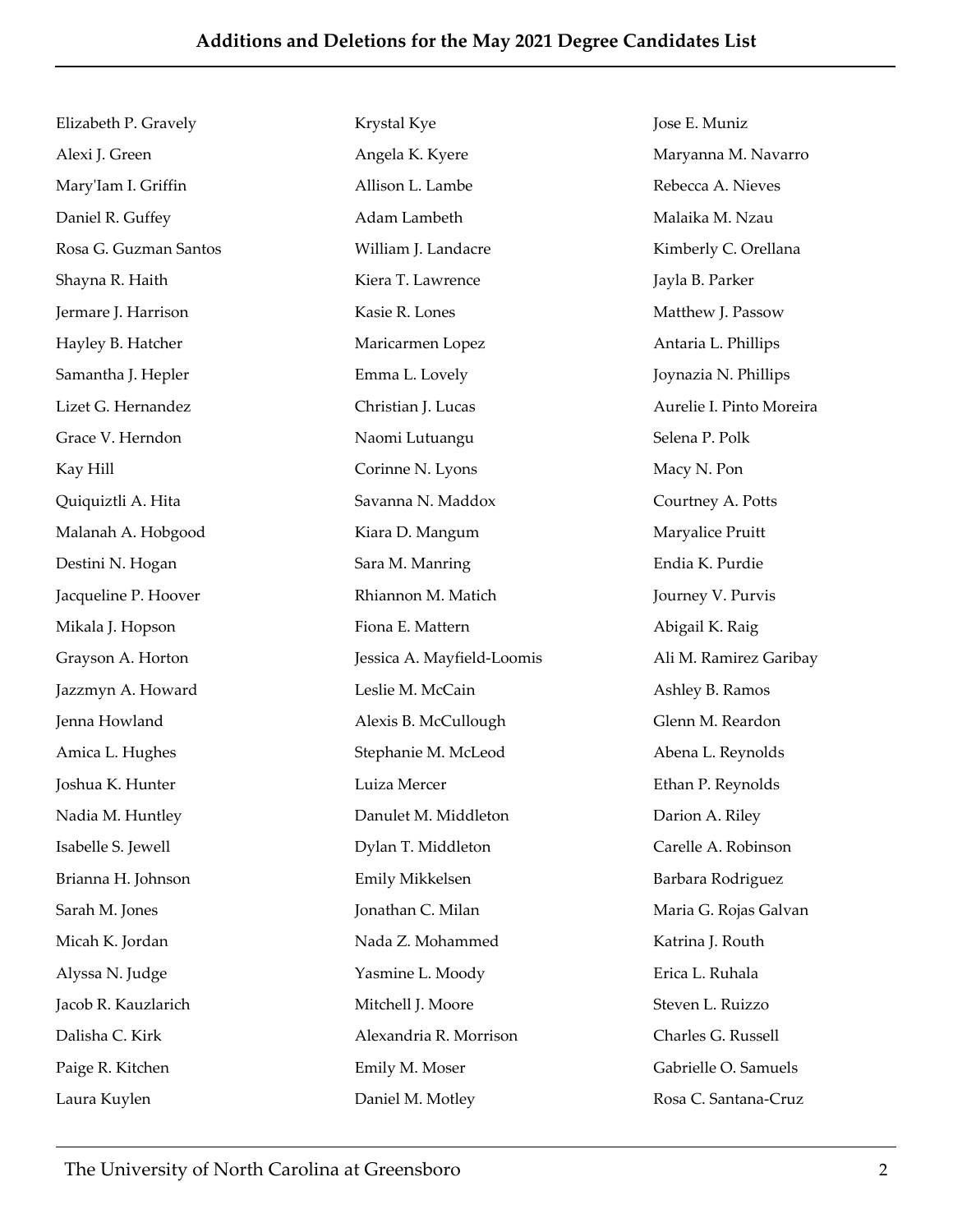Elizabeth P. Gravely Alexi J. Green MaryʹIam I. Griffin Daniel R. Guffey Rosa G. Guzman Santos Shayna R. Haith Jermare J. Harrison Hayley B. Hatcher Samantha J. Hepler Lizet G. Hernandez Grace V. Herndon Kay Hill Quiquiztli A. Hita Malanah A. Hobgood Destini N. Hogan Jacqueline P. Hoover Mikala J. Hopson Grayson A. Horton Jazzmyn A. Howard Jenna Howland Amica L. Hughes Joshua K. Hunter Nadia M. Huntley Isabelle S. Jewell Brianna H. Johnson Sarah M. Jones Micah K. Jordan Alyssa N. Judge Jacob R. Kauzlarich Dalisha C. Kirk Paige R. Kitchen Laura Kuylen

Krystal Kye Angela K. Kyere Allison L. Lambe Adam Lambeth William J. Landacre Kiera T. Lawrence Kasie R. Lones Maricarmen Lopez Emma L. Lovely Christian J. Lucas Naomi Lutuangu Corinne N. Lyons Savanna N. Maddox Kiara D. Mangum Sara M. Manring Rhiannon M. Matich Fiona E. Mattern Jessica A. Mayfield‐Loomis Leslie M. McCain Alexis B. McCullough Stephanie M. McLeod Luiza Mercer Danulet M. Middleton Dylan T. Middleton Emily Mikkelsen Jonathan C. Milan Nada Z. Mohammed Yasmine L. Moody Mitchell J. Moore Alexandria R. Morrison Emily M. Moser Daniel M. Motley

Jose E. Muniz Maryanna M. Navarro Rebecca A. Nieves Malaika M. Nzau Kimberly C. Orellana Jayla B. Parker Matthew J. Passow Antaria L. Phillips Joynazia N. Phillips Aurelie I. Pinto Moreira Selena P. Polk Macy N. Pon Courtney A. Potts Maryalice Pruitt Endia K. Purdie Journey V. Purvis Abigail K. Raig Ali M. Ramirez Garibay Ashley B. Ramos Glenn M. Reardon Abena L. Reynolds Ethan P. Reynolds Darion A. Riley Carelle A. Robinson Barbara Rodriguez Maria G. Rojas Galvan Katrina J. Routh Erica L. Ruhala Steven L. Ruizzo Charles G. Russell Gabrielle O. Samuels Rosa C. Santana‐Cruz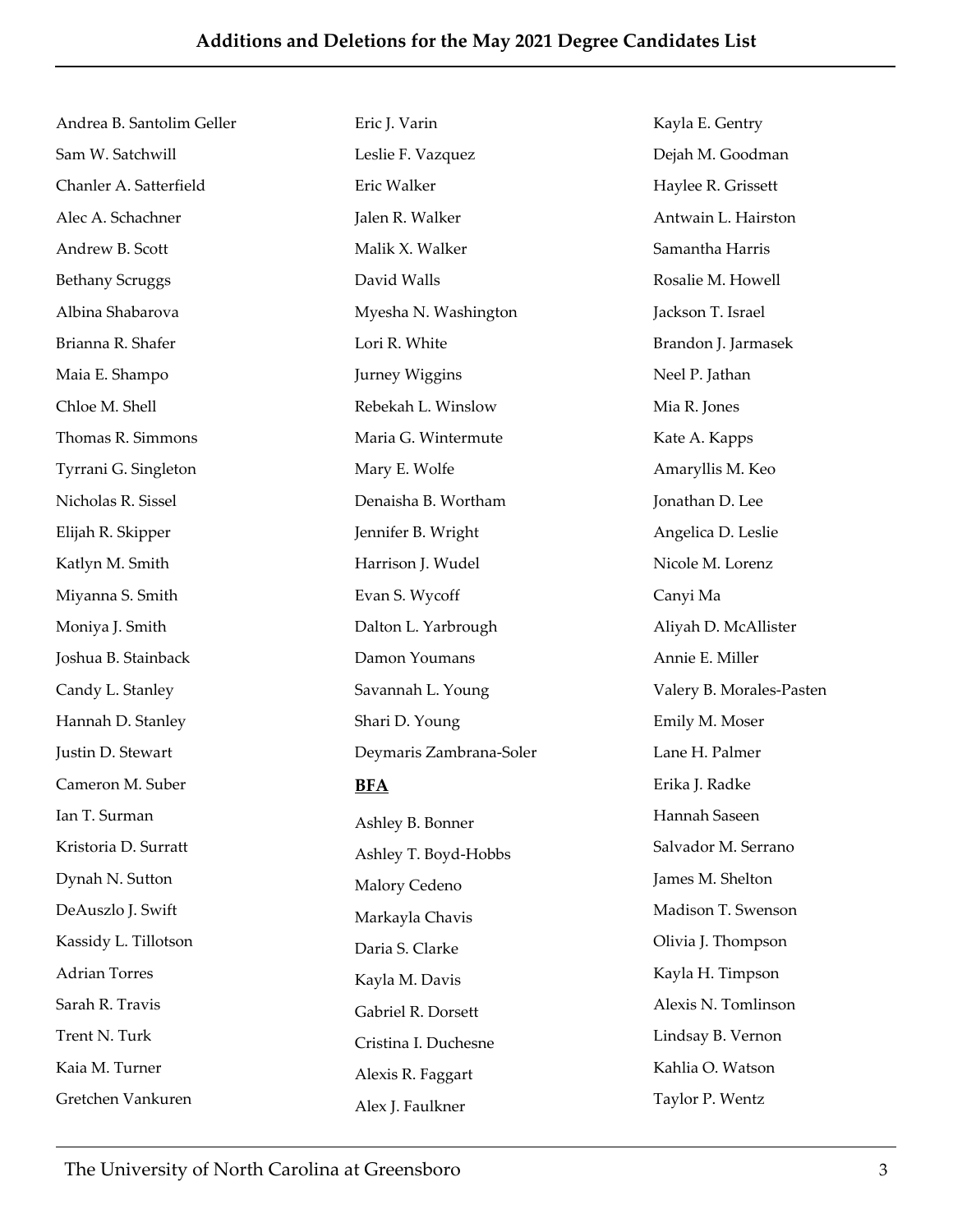Andrea B. Santolim Geller Sam W. Satchwill Chanler A. Satterfield Alec A. Schachner Andrew B. Scott Bethany Scruggs Albina Shabarova Brianna R. Shafer Maia E. Shampo Chloe M. Shell Thomas R. Simmons Tyrrani G. Singleton Nicholas R. Sissel Elijah R. Skipper Katlyn M. Smith Miyanna S. Smith Moniya J. Smith Joshua B. Stainback Candy L. Stanley Hannah D. Stanley Justin D. Stewart Cameron M. Suber Ian T. Surman Kristoria D. Surratt Dynah N. Sutton DeAuszlo J. Swift Kassidy L. Tillotson Adrian Torres Sarah R. Travis Trent N. Turk Kaia M. Turner Gretchen Vankuren

Eric J. Varin Leslie F. Vazquez Eric Walker Jalen R. Walker Malik X. Walker David Walls Myesha N. Washington Lori R. White Jurney Wiggins Rebekah L. Winslow Maria G. Wintermute Mary E. Wolfe Denaisha B. Wortham Jennifer B. Wright Harrison J. Wudel Evan S. Wycoff Dalton L. Yarbrough Damon Youmans Savannah L. Young Shari D. Young Deymaris Zambrana‐Soler **BFA** Ashley B. Bonner Ashley T. Boyd‐Hobbs Malory Cedeno Markayla Chavis Daria S. Clarke Kayla M. Davis Gabriel R. Dorsett Cristina I. Duchesne Alexis R. Faggart Alex J. Faulkner

Kayla E. Gentry Dejah M. Goodman Haylee R. Grissett Antwain L. Hairston Samantha Harris Rosalie M. Howell Jackson T. Israel Brandon J. Jarmasek Neel P. Jathan Mia R. Jones Kate A. Kapps Amaryllis M. Keo Jonathan D. Lee Angelica D. Leslie Nicole M. Lorenz Canyi Ma Aliyah D. McAllister Annie E. Miller Valery B. Morales‐Pasten Emily M. Moser Lane H. Palmer Erika J. Radke Hannah Saseen Salvador M. Serrano James M. Shelton Madison T. Swenson Olivia J. Thompson Kayla H. Timpson Alexis N. Tomlinson Lindsay B. Vernon Kahlia O. Watson Taylor P. Wentz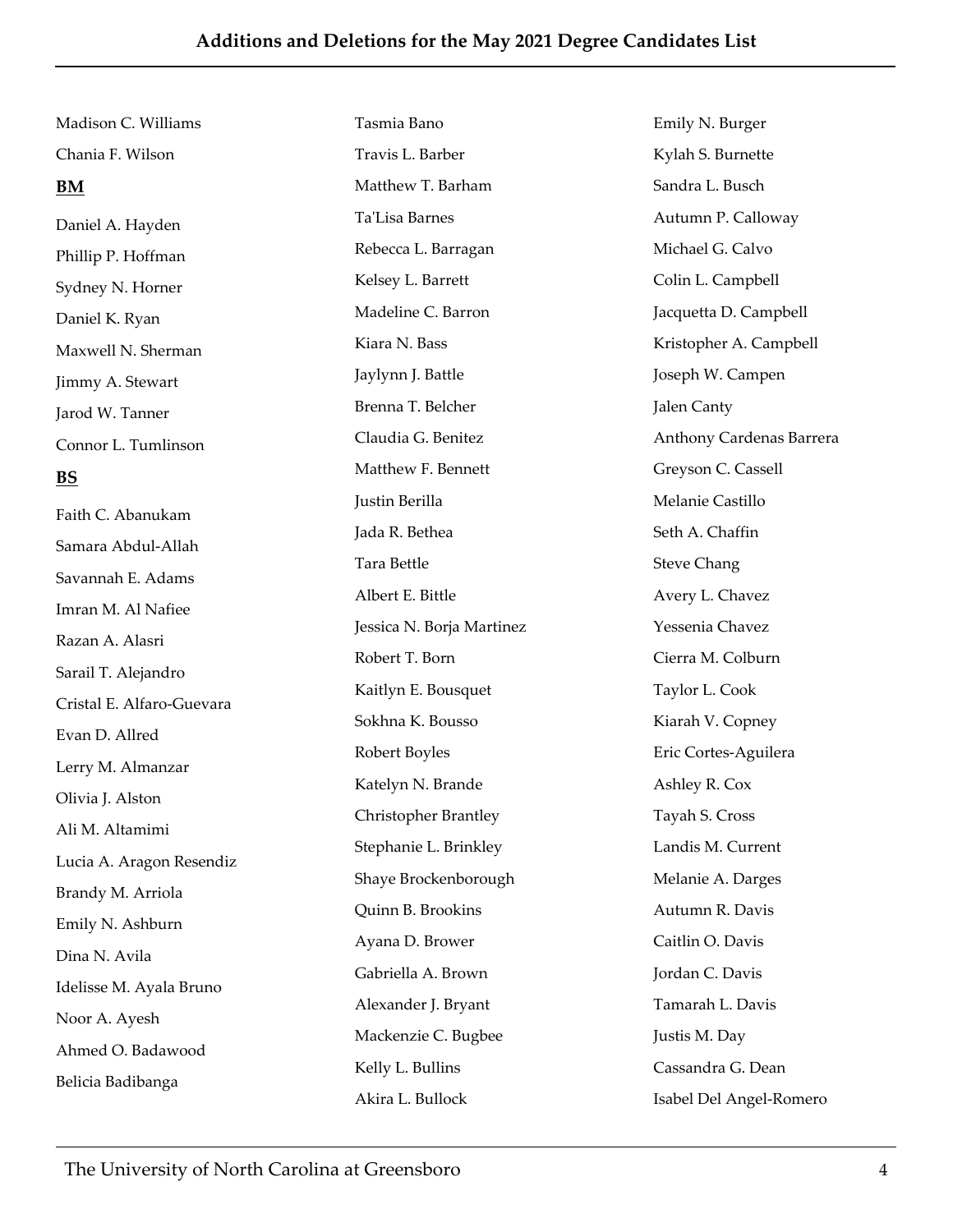Madison C. Williams Chania F. Wilson **BM** Daniel A. Hayden Phillip P. Hoffman Sydney N. Horner Daniel K. Ryan Maxwell N. Sherman Jimmy A. Stewart Jarod W. Tanner Connor L. Tumlinson **BS** Faith C. Abanukam Samara Abdul‐Allah Savannah E. Adams Imran M. Al Nafiee

Razan A. Alasri Sarail T. Alejandro Cristal E. Alfaro‐Guevara Evan D. Allred Lerry M. Almanzar Olivia J. Alston Ali M. Altamimi Lucia A. Aragon Resendiz Brandy M. Arriola Emily N. Ashburn Dina N. Avila Idelisse M. Ayala Bruno Noor A. Ayesh Ahmed O. Badawood Belicia Badibanga

Tasmia Bano Travis L. Barber Matthew T. Barham TaʹLisa Barnes Rebecca L. Barragan Kelsey L. Barrett Madeline C. Barron Kiara N. Bass Jaylynn J. Battle Brenna T. Belcher Claudia G. Benitez Matthew F. Bennett Justin Berilla Jada R. Bethea Tara Bettle Albert E. Bittle Jessica N. Borja Martinez Robert T. Born Kaitlyn E. Bousquet Sokhna K. Bousso Robert Boyles Katelyn N. Brande Christopher Brantley Stephanie L. Brinkley Shaye Brockenborough Quinn B. Brookins Ayana D. Brower Gabriella A. Brown Alexander J. Bryant Mackenzie C. Bugbee Kelly L. Bullins Akira L. Bullock

Emily N. Burger Kylah S. Burnette Sandra L. Busch Autumn P. Calloway Michael G. Calvo Colin L. Campbell Jacquetta D. Campbell Kristopher A. Campbell Joseph W. Campen Jalen Canty Anthony Cardenas Barrera Greyson C. Cassell Melanie Castillo Seth A. Chaffin Steve Chang Avery L. Chavez Yessenia Chavez Cierra M. Colburn Taylor L. Cook Kiarah V. Copney Eric Cortes‐Aguilera Ashley R. Cox Tayah S. Cross Landis M. Current Melanie A. Darges Autumn R. Davis Caitlin O. Davis Jordan C. Davis Tamarah L. Davis Justis M. Day Cassandra G. Dean Isabel Del Angel‐Romero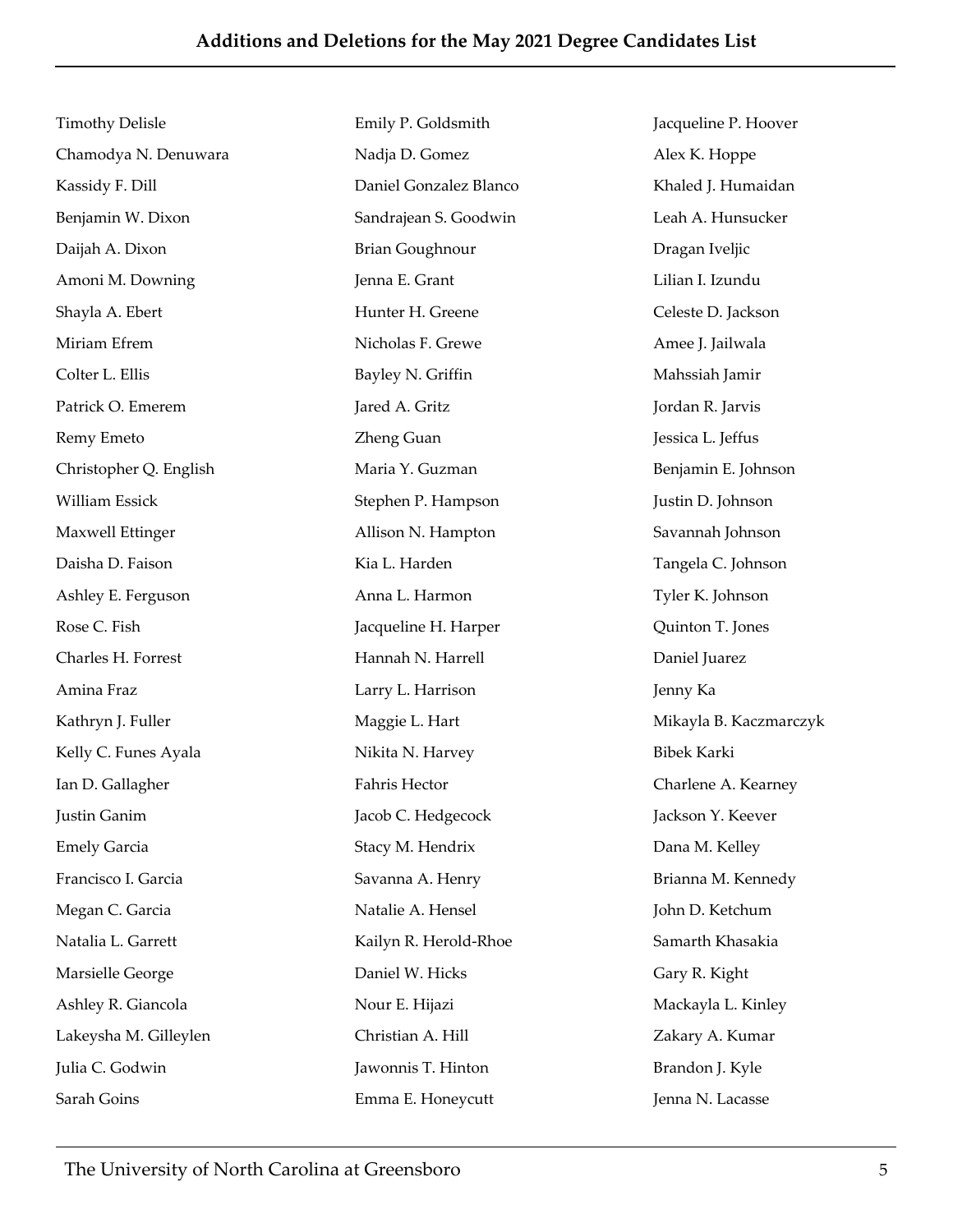Timothy Delisle Chamodya N. Denuwara Kassidy F. Dill Benjamin W. Dixon Daijah A. Dixon Amoni M. Downing Shayla A. Ebert Miriam Efrem Colter L. Ellis Patrick O. Emerem Remy Emeto Christopher Q. English William Essick Maxwell Ettinger Daisha D. Faison Ashley E. Ferguson Rose C. Fish Charles H. Forrest Amina Fraz Kathryn J. Fuller Kelly C. Funes Ayala Ian D. Gallagher Justin Ganim Emely Garcia Francisco I. Garcia Megan C. Garcia Natalia L. Garrett Marsielle George Ashley R. Giancola Lakeysha M. Gilleylen Julia C. Godwin Sarah Goins

Emily P. Goldsmith Nadja D. Gomez Daniel Gonzalez Blanco Sandrajean S. Goodwin Brian Goughnour Jenna E. Grant Hunter H. Greene Nicholas F. Grewe Bayley N. Griffin Jared A. Gritz Zheng Guan Maria Y. Guzman Stephen P. Hampson Allison N. Hampton Kia L. Harden Anna L. Harmon Jacqueline H. Harper Hannah N. Harrell Larry L. Harrison Maggie L. Hart Nikita N. Harvey Fahris Hector Jacob C. Hedgecock Stacy M. Hendrix Savanna A. Henry Natalie A. Hensel Kailyn R. Herold‐Rhoe Daniel W. Hicks Nour E. Hijazi Christian A. Hill Jawonnis T. Hinton Emma E. Honeycutt

Jacqueline P. Hoover Alex K. Hoppe Khaled J. Humaidan Leah A. Hunsucker Dragan Iveljic Lilian I. Izundu Celeste D. Jackson Amee J. Jailwala Mahssiah Jamir Jordan R. Jarvis Jessica L. Jeffus Benjamin E. Johnson Justin D. Johnson Savannah Johnson Tangela C. Johnson Tyler K. Johnson Quinton T. Jones Daniel Juarez Jenny Ka Mikayla B. Kaczmarczyk Bibek Karki Charlene A. Kearney Jackson Y. Keever Dana M. Kelley Brianna M. Kennedy John D. Ketchum Samarth Khasakia Gary R. Kight Mackayla L. Kinley Zakary A. Kumar Brandon J. Kyle Jenna N. Lacasse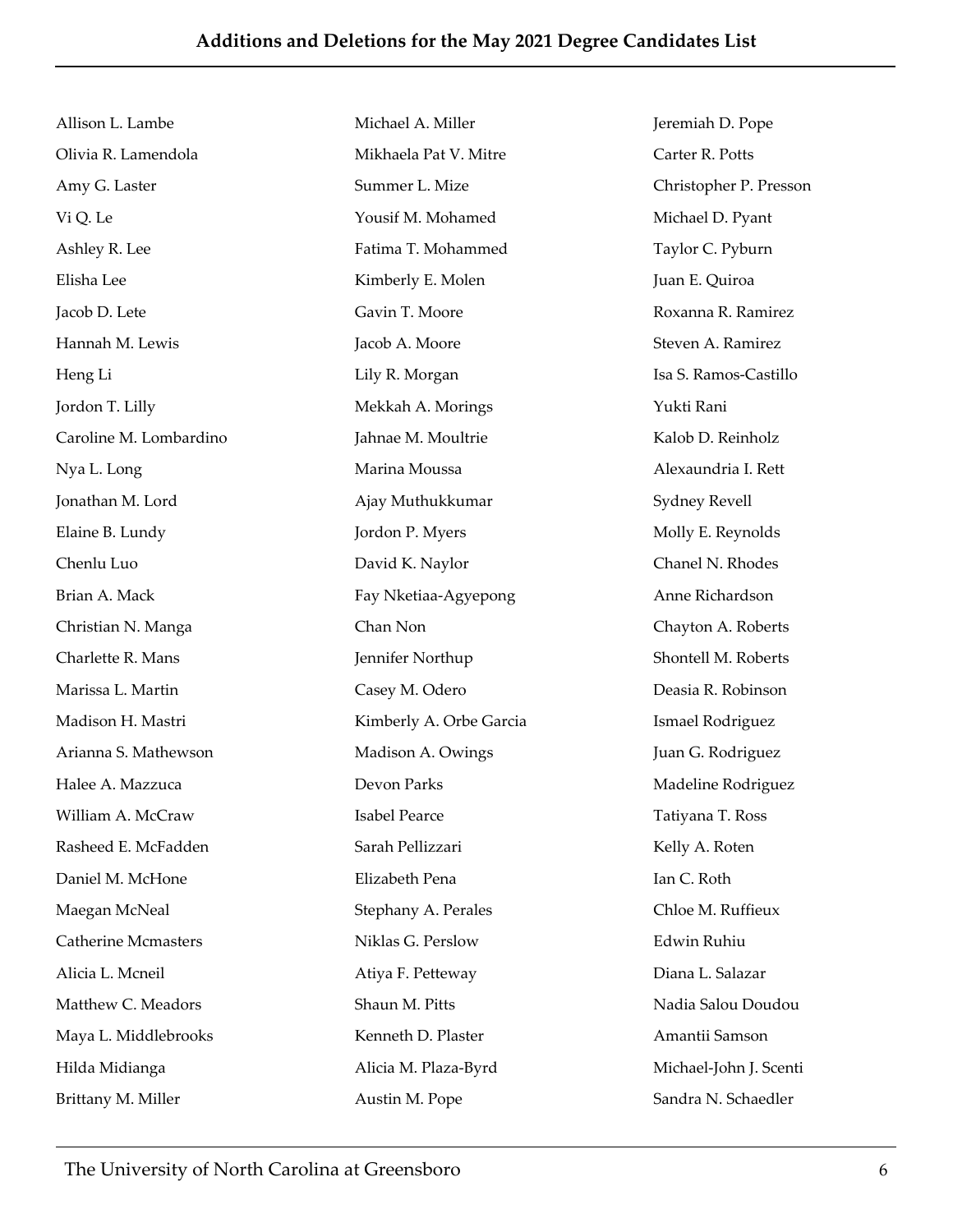Allison L. Lambe Olivia R. Lamendola Amy G. Laster Vi Q. Le Ashley R. Lee Elisha Lee Jacob D. Lete Hannah M. Lewis Heng Li Jordon T. Lilly Caroline M. Lombardino Nya L. Long Jonathan M. Lord Elaine B. Lundy Chenlu Luo Brian A. Mack Christian N. Manga Charlette R. Mans Marissa L. Martin Madison H. Mastri Arianna S. Mathewson Halee A. Mazzuca William A. McCraw Rasheed E. McFadden Daniel M. McHone Maegan McNeal Catherine Mcmasters Alicia L. Mcneil Matthew C. Meadors Maya L. Middlebrooks Hilda Midianga Brittany M. Miller Michael A. Miller Mikhaela Pat V. Mitre Summer L. Mize Yousif M. Mohamed Fatima T. Mohammed Kimberly E. Molen Gavin T. Moore Jacob A. Moore Lily R. Morgan Mekkah A. Morings Jahnae M. Moultrie Marina Moussa Ajay Muthukkumar Jordon P. Myers David K. Naylor Fay Nketiaa‐Agyepong Chan Non Jennifer Northup Casey M. Odero Kimberly A. Orbe Garcia Madison A. Owings Devon Parks Isabel Pearce Sarah Pellizzari Elizabeth Pena Stephany A. Perales Niklas G. Perslow Atiya F. Petteway Shaun M. Pitts Kenneth D. Plaster Alicia M. Plaza‐Byrd Austin M. Pope

Jeremiah D. Pope Carter R. Potts Christopher P. Presson Michael D. Pyant Taylor C. Pyburn Juan E. Quiroa Roxanna R. Ramirez Steven A. Ramirez Isa S. Ramos‐Castillo Yukti Rani Kalob D. Reinholz Alexaundria I. Rett Sydney Revell Molly E. Reynolds Chanel N. Rhodes Anne Richardson Chayton A. Roberts Shontell M. Roberts Deasia R. Robinson Ismael Rodriguez Juan G. Rodriguez Madeline Rodriguez Tatiyana T. Ross Kelly A. Roten Ian C. Roth Chloe M. Ruffieux Edwin Ruhiu Diana L. Salazar Nadia Salou Doudou Amantii Samson Michael‐John J. Scenti Sandra N. Schaedler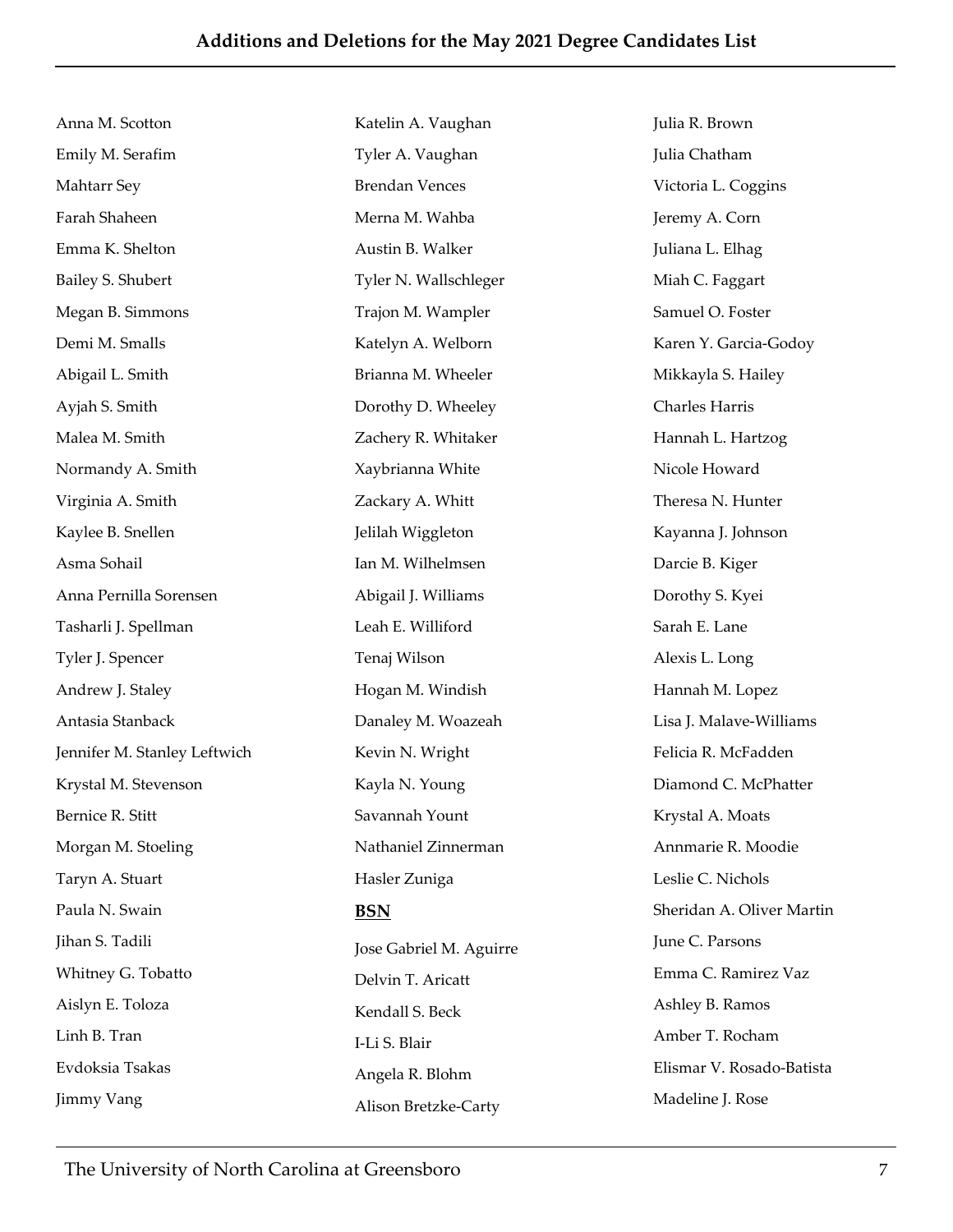| Anna M. Scotton              | Katelin A. Vaughan                | Julia R. Brown            |
|------------------------------|-----------------------------------|---------------------------|
| Emily M. Serafim             | Tyler A. Vaughan<br>Julia Chatham |                           |
| Mahtarr Sey                  | <b>Brendan Vences</b>             | Victoria L. Coggins       |
| Farah Shaheen                | Merna M. Wahba                    | Jeremy A. Corn            |
| Emma K. Shelton              | Austin B. Walker                  | Juliana L. Elhag          |
| Bailey S. Shubert            | Tyler N. Wallschleger             | Miah C. Faggart           |
| Megan B. Simmons             | Trajon M. Wampler                 | Samuel O. Foster          |
| Demi M. Smalls               | Katelyn A. Welborn                | Karen Y. Garcia-Godoy     |
| Abigail L. Smith             | Brianna M. Wheeler                | Mikkayla S. Hailey        |
| Ayjah S. Smith               | Dorothy D. Wheeley                | Charles Harris            |
| Malea M. Smith               | Zachery R. Whitaker               | Hannah L. Hartzog         |
| Normandy A. Smith            | Xaybrianna White                  | Nicole Howard             |
| Virginia A. Smith            | Zackary A. Whitt                  | Theresa N. Hunter         |
| Kaylee B. Snellen            | Jelilah Wiggleton                 | Kayanna J. Johnson        |
| Asma Sohail                  | Ian M. Wilhelmsen                 | Darcie B. Kiger           |
| Anna Pernilla Sorensen       | Abigail J. Williams               | Dorothy S. Kyei           |
| Tasharli J. Spellman         | Leah E. Williford                 | Sarah E. Lane             |
| Tyler J. Spencer             | Tenaj Wilson                      | Alexis L. Long            |
| Andrew J. Staley             | Hogan M. Windish                  | Hannah M. Lopez           |
| Antasia Stanback             | Danaley M. Woazeah                | Lisa J. Malave-Williams   |
| Jennifer M. Stanley Leftwich | Kevin N. Wright                   | Felicia R. McFadden       |
| Krystal M. Stevenson         | Kayla N. Young                    | Diamond C. McPhatter      |
| Bernice R. Stitt             | Savannah Yount                    | Krystal A. Moats          |
| Morgan M. Stoeling           | Nathaniel Zinnerman               | Annmarie R. Moodie        |
| Taryn A. Stuart              | Hasler Zuniga                     | Leslie C. Nichols         |
| Paula N. Swain               | <b>BSN</b>                        | Sheridan A. Oliver Martin |
| Jihan S. Tadili              | Jose Gabriel M. Aguirre           | June C. Parsons           |
| Whitney G. Tobatto           | Delvin T. Aricatt                 | Emma C. Ramirez Vaz       |
| Aislyn E. Toloza             | Kendall S. Beck                   | Ashley B. Ramos           |
| Linh B. Tran                 | I-Li S. Blair                     | Amber T. Rocham           |
| Evdoksia Tsakas              | Angela R. Blohm                   | Elismar V. Rosado-Batista |
| Jimmy Vang                   | Alison Bretzke-Carty              | Madeline J. Rose          |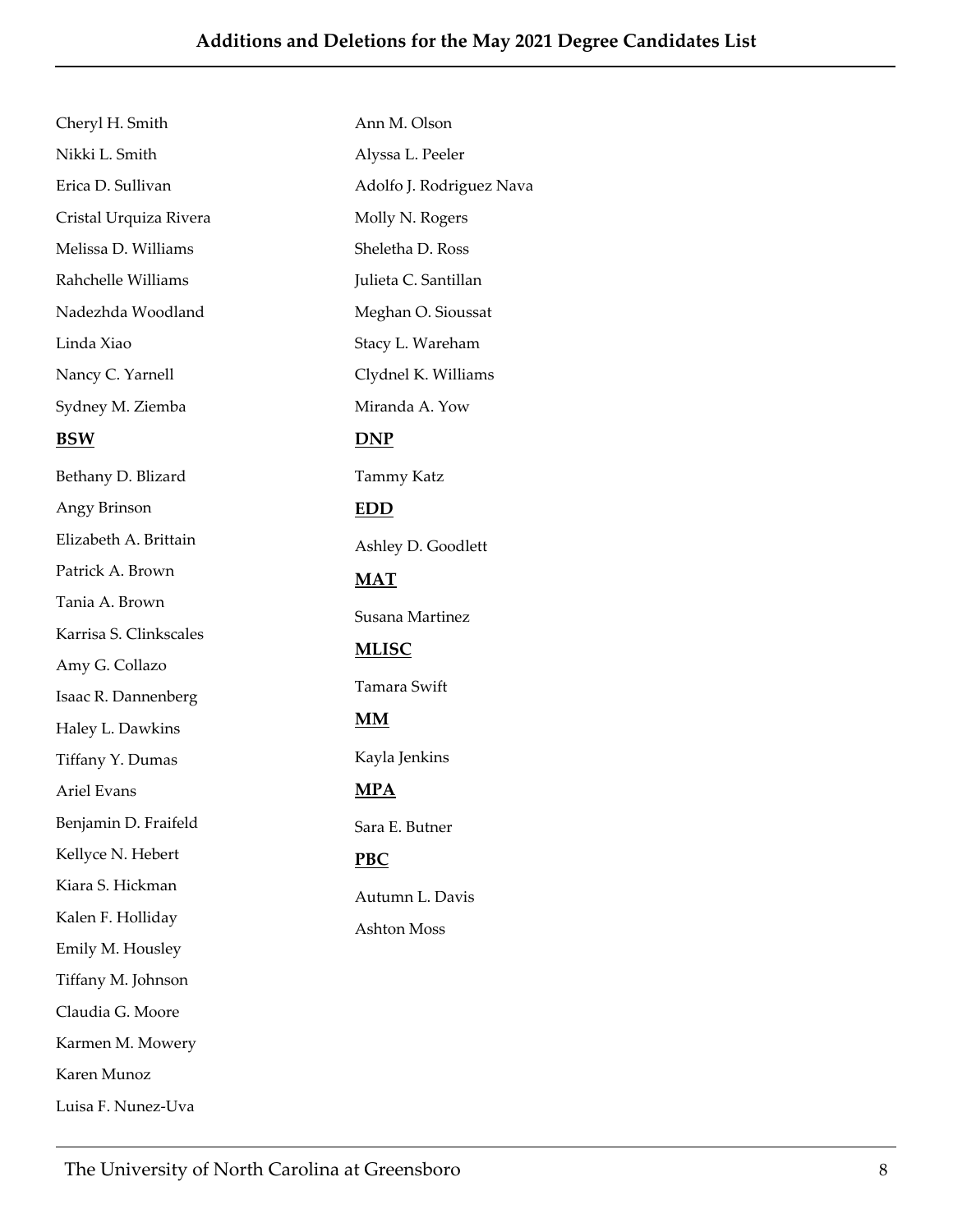| Cheryl H. Smith        | Ann M. Olson             |  |
|------------------------|--------------------------|--|
| Nikki L. Smith         | Alyssa L. Peeler         |  |
| Erica D. Sullivan      | Adolfo J. Rodriguez Nava |  |
| Cristal Urquiza Rivera | Molly N. Rogers          |  |
| Melissa D. Williams    | Sheletha D. Ross         |  |
| Rahchelle Williams     | Julieta C. Santillan     |  |
| Nadezhda Woodland      | Meghan O. Sioussat       |  |
| Linda Xiao             | Stacy L. Wareham         |  |
| Nancy C. Yarnell       | Clydnel K. Williams      |  |
| Sydney M. Ziemba       | Miranda A. Yow           |  |
| <b>BSW</b>             | <b>DNP</b>               |  |
| Bethany D. Blizard     | Tammy Katz               |  |
| Angy Brinson           | <b>EDD</b>               |  |
| Elizabeth A. Brittain  | Ashley D. Goodlett       |  |
| Patrick A. Brown       | $MAT$                    |  |
| Tania A. Brown         | Susana Martinez          |  |
| Karrisa S. Clinkscales | <u>MLISC</u>             |  |
| Amy G. Collazo         |                          |  |
| Isaac R. Dannenberg    | Tamara Swift             |  |
| Haley L. Dawkins       | $\overline{\text{MM}}$   |  |
| Tiffany Y. Dumas       | Kayla Jenkins            |  |
| Ariel Evans            | <u>MPA</u>               |  |
| Benjamin D. Fraifeld   | Sara E. Butner           |  |
| Kellyce N. Hebert      | <b>PBC</b>               |  |
| Kiara S. Hickman       | Autumn L. Davis          |  |
| Kalen F. Holliday      | <b>Ashton Moss</b>       |  |
| Emily M. Housley       |                          |  |
| Tiffany M. Johnson     |                          |  |
| Claudia G. Moore       |                          |  |
| Karmen M. Mowery       |                          |  |
| Karen Munoz            |                          |  |

Luisa F. Nunez‐Uva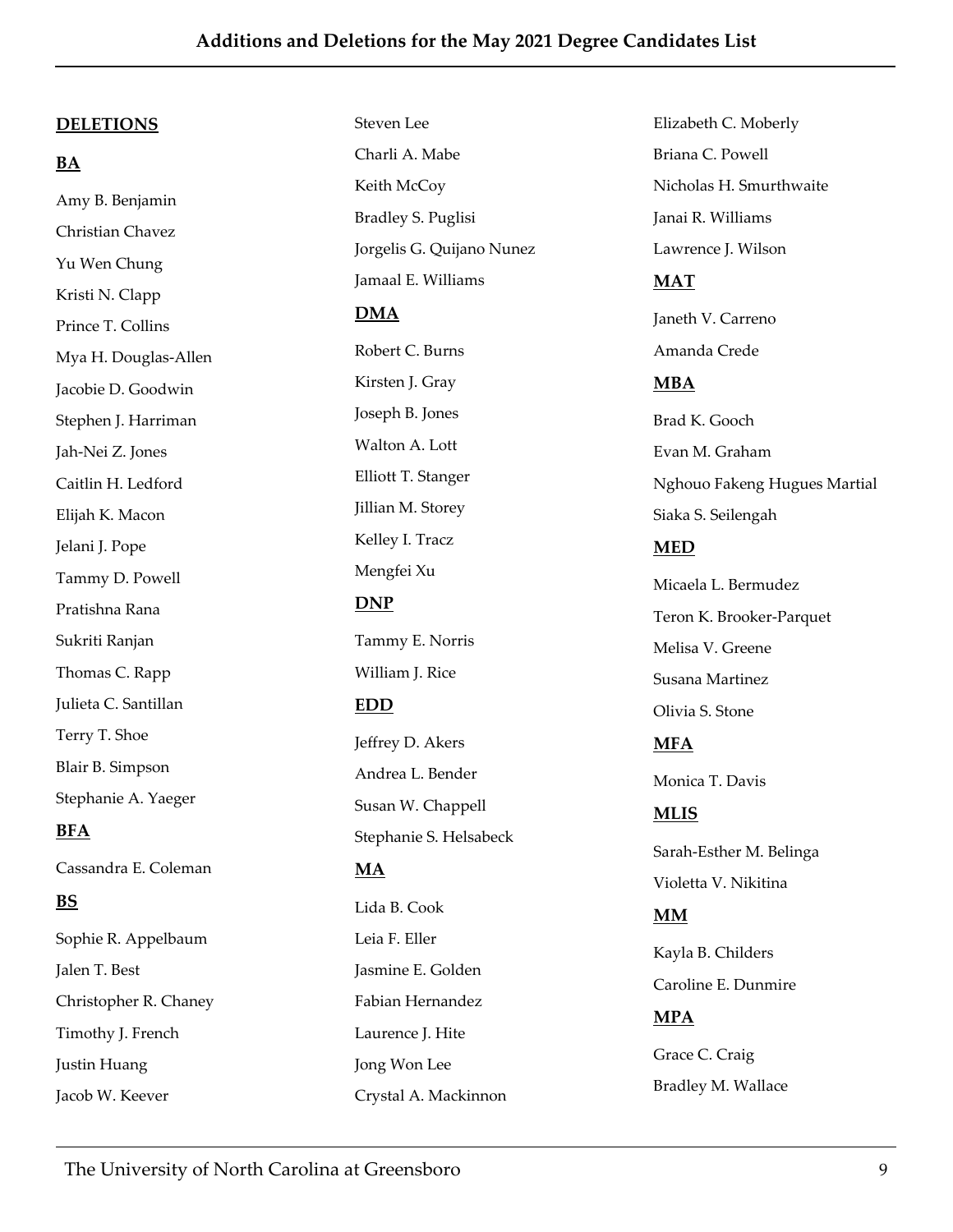#### **DELETIONS**

## **BA**

Amy B. Benjamin Christian Chavez Yu Wen Chung Kristi N. Clapp Prince T. Collins Mya H. Douglas‐Allen Jacobie D. Goodwin Stephen J. Harriman Jah‐Nei Z. Jones Caitlin H. Ledford Elijah K. Macon Jelani J. Pope Tammy D. Powell Pratishna Rana Sukriti Ranjan Thomas C. Rapp Julieta C. Santillan Terry T. Shoe Blair B. Simpson Stephanie A. Yaeger **BFA**

Cassandra E. Coleman **BS**

Sophie R. Appelbaum Jalen T. Best Christopher R. Chaney Timothy J. French Justin Huang Jacob W. Keever

Steven Lee Charli A. Mabe Keith McCoy Bradley S. Puglisi Jorgelis G. Quijano Nunez Jamaal E. Williams **DMA** Robert C. Burns Kirsten J. Gray Joseph B. Jones Walton A. Lott Elliott T. Stanger Jillian M. Storey Kelley I. Tracz Mengfei Xu **DNP** Tammy E. Norris William J. Rice **EDD** Jeffrey D. Akers Andrea L. Bender Susan W. Chappell Stephanie S. Helsabeck **MA** Lida B. Cook Leia F. Eller Jasmine E. Golden Fabian Hernandez

Laurence J. Hite

Crystal A. Mackinnon

Jong Won Lee

Elizabeth C. Moberly Briana C. Powell Nicholas H. Smurthwaite Janai R. Williams Lawrence J. Wilson **MAT** Janeth V. Carreno Amanda Crede **MBA** Brad K. Gooch Evan M. Graham Nghouo Fakeng Hugues Martial Siaka S. Seilengah **MED** Micaela L. Bermudez Teron K. Brooker‐Parquet Melisa V. Greene Susana Martinez Olivia S. Stone **MFA** Monica T. Davis **MLIS** Sarah‐Esther M. Belinga Violetta V. Nikitina **MM** Kayla B. Childers

Caroline E. Dunmire

### **MPA**

Grace C. Craig Bradley M. Wallace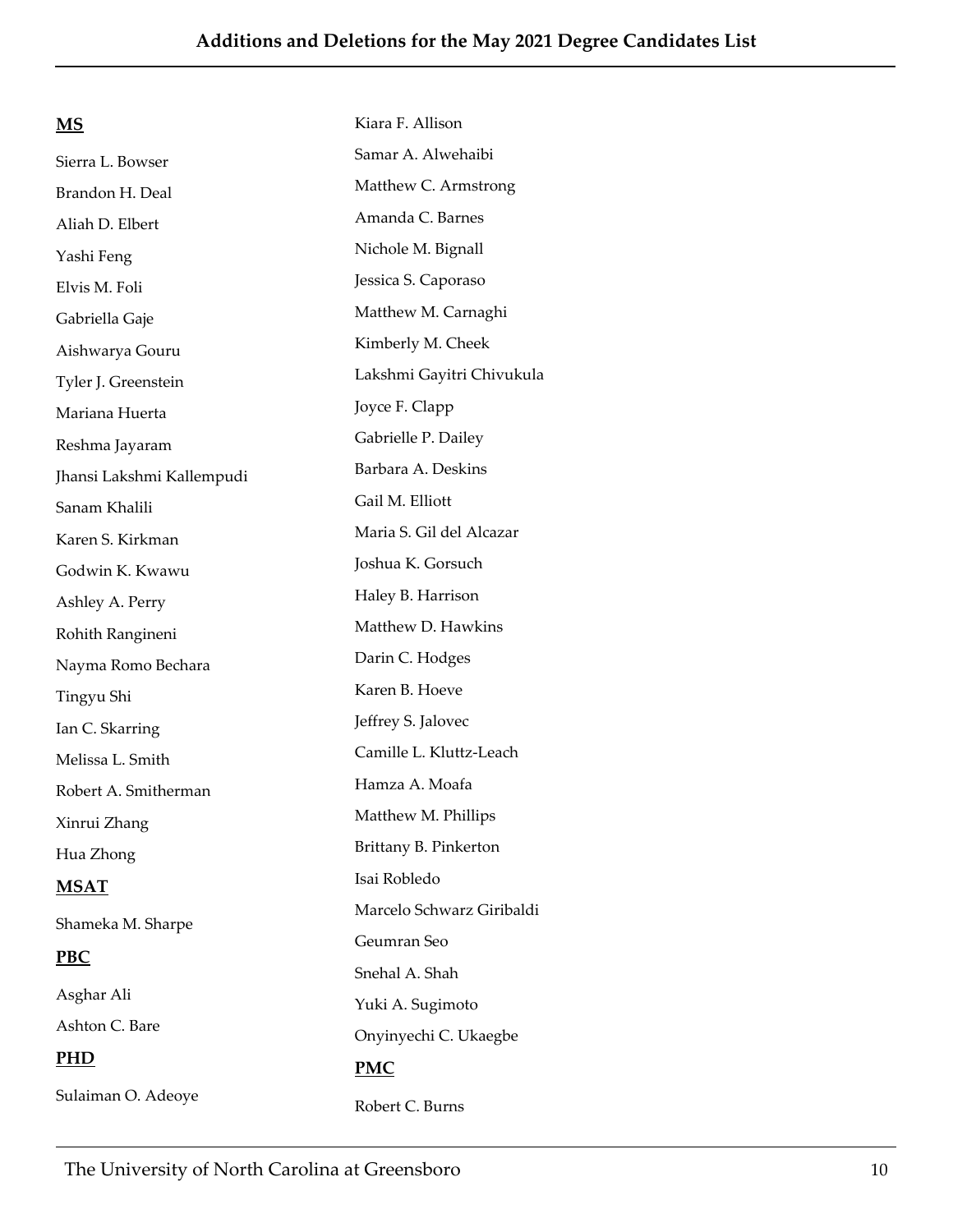| <u>MS</u>                 | Kiara F. Allison          |
|---------------------------|---------------------------|
| Sierra L. Bowser          | Samar A. Alwehaibi        |
| Brandon H. Deal           | Matthew C. Armstrong      |
| Aliah D. Elbert           | Amanda C. Barnes          |
| Yashi Feng                | Nichole M. Bignall        |
| Elvis M. Foli             | Jessica S. Caporaso       |
| Gabriella Gaje            | Matthew M. Carnaghi       |
| Aishwarya Gouru           | Kimberly M. Cheek         |
| Tyler J. Greenstein       | Lakshmi Gayitri Chivukula |
| Mariana Huerta            | Joyce F. Clapp            |
| Reshma Jayaram            | Gabrielle P. Dailey       |
| Jhansi Lakshmi Kallempudi | Barbara A. Deskins        |
| Sanam Khalili             | Gail M. Elliott           |
| Karen S. Kirkman          | Maria S. Gil del Alcazar  |
| Godwin K. Kwawu           | Joshua K. Gorsuch         |
| Ashley A. Perry           | Haley B. Harrison         |
| Rohith Rangineni          | Matthew D. Hawkins        |
| Nayma Romo Bechara        | Darin C. Hodges           |
| Tingyu Shi                | Karen B. Hoeve            |
| Ian C. Skarring           | Jeffrey S. Jalovec        |
| Melissa L. Smith          | Camille L. Kluttz-Leach   |
| Robert A. Smitherman      | Hamza A. Moafa            |
| Xinrui Zhang              | Matthew M. Phillips       |
| Hua Zhong                 | Brittany B. Pinkerton     |
| <b>MSAT</b>               | Isai Robledo              |
| Shameka M. Sharpe         | Marcelo Schwarz Giribaldi |
| PBC                       | Geumran Seo               |
|                           | Snehal A. Shah            |
| Asghar Ali                | Yuki A. Sugimoto          |
| Ashton C. Bare            | Onyinyechi C. Ukaegbe     |
| <u>PHD</u>                | PMC                       |
| Sulaiman O. Adeoye        | Robert C. Burns           |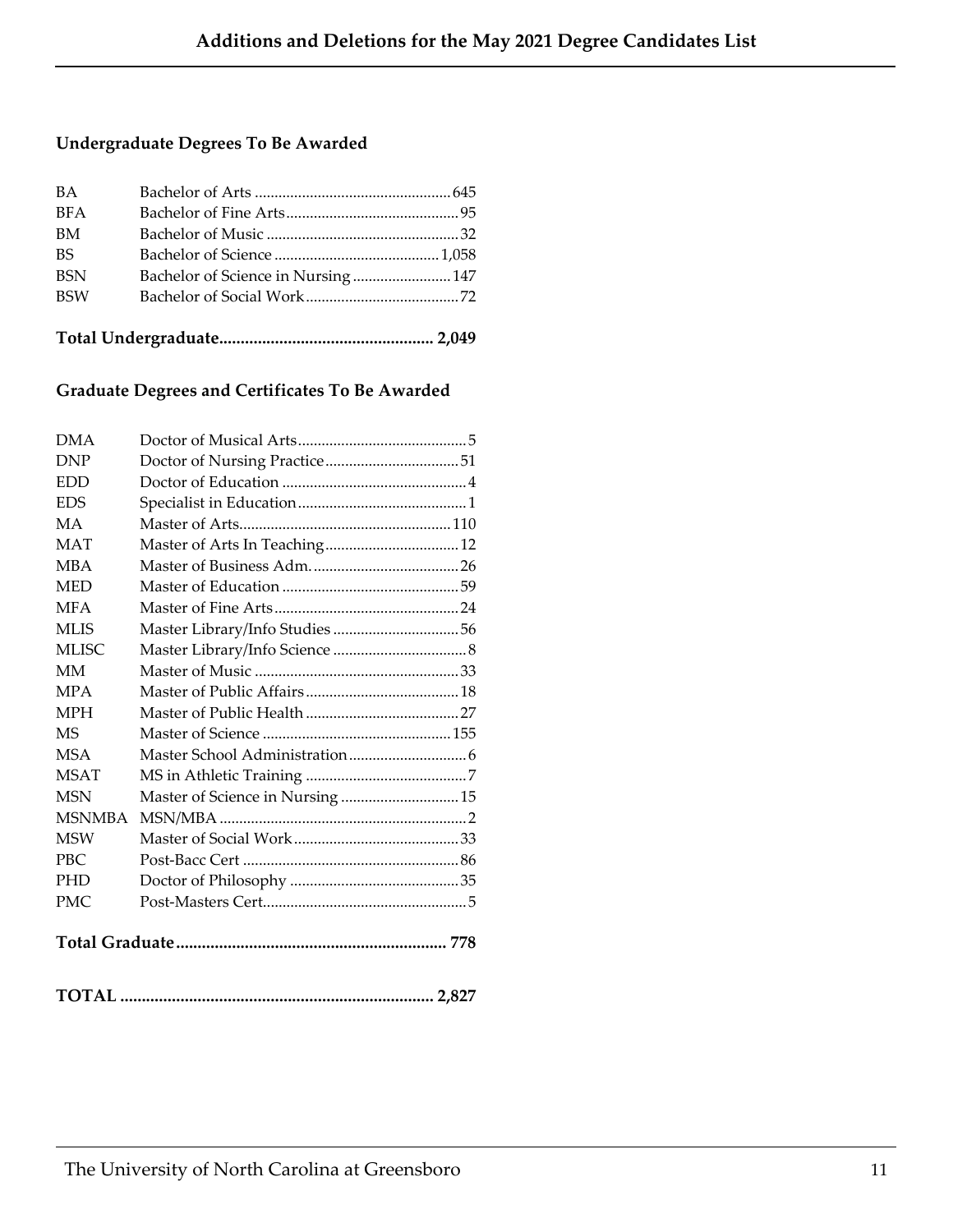# **Undergraduate Degrees To Be Awarded**

| <b>BA</b>  |                                    |  |
|------------|------------------------------------|--|
| <b>BFA</b> |                                    |  |
| BM         |                                    |  |
| <b>BS</b>  |                                    |  |
| <b>BSN</b> | Bachelor of Science in Nursing 147 |  |
| <b>BSW</b> |                                    |  |
|            |                                    |  |
|            |                                    |  |

## **Graduate Degrees and Certificates To Be Awarded**

| <b>DMA</b>    |                                  |  |
|---------------|----------------------------------|--|
| <b>DNP</b>    |                                  |  |
| <b>EDD</b>    |                                  |  |
| <b>EDS</b>    |                                  |  |
| <b>MA</b>     |                                  |  |
| <b>MAT</b>    |                                  |  |
| <b>MBA</b>    |                                  |  |
| <b>MED</b>    |                                  |  |
| <b>MFA</b>    |                                  |  |
| <b>MLIS</b>   |                                  |  |
| <b>MLISC</b>  |                                  |  |
| <b>MM</b>     |                                  |  |
| <b>MPA</b>    |                                  |  |
| <b>MPH</b>    |                                  |  |
| <b>MS</b>     |                                  |  |
| <b>MSA</b>    |                                  |  |
| <b>MSAT</b>   |                                  |  |
| <b>MSN</b>    | Master of Science in Nursing  15 |  |
| <b>MSNMBA</b> |                                  |  |
| <b>MSW</b>    |                                  |  |
| <b>PBC</b>    |                                  |  |
| <b>PHD</b>    |                                  |  |
| <b>PMC</b>    |                                  |  |
|               |                                  |  |
|               |                                  |  |